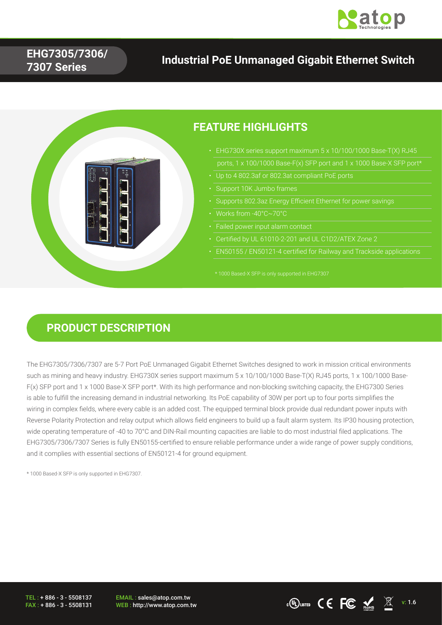

### **EHG7305/7306/ 7307 Series**

## **Industrial PoE Unmanaged Gigabit Ethernet Switch**



### **PRODUCT DESCRIPTION**

The EHG7305/7306/7307 are 5-7 Port PoE Unmanaged Gigabit Ethernet Switches designed to work in mission critical environments such as mining and heavy industry. EHG730X series support maximum 5 x 10/100/1000 Base-T(X) RJ45 ports, 1 x 100/1000 Base-F(x) SFP port and 1 x 1000 Base-X SFP port\*. With its high performance and non-blocking switching capacity, the EHG7300 Series is able to fulfill the increasing demand in industrial networking. Its PoE capability of 30W per port up to four ports simplifies the wiring in complex fields, where every cable is an added cost. The equipped terminal block provide dual redundant power inputs with Reverse Polarity Protection and relay output which allows field engineers to build up a fault alarm system. Its IP30 housing protection, wide operating temperature of -40 to 70°C and DIN-Rail mounting capacities are liable to do most industrial filed applications. The EHG7305/7306/7307 Series is fully EN50155-certified to ensure reliable performance under a wide range of power supply conditions, and it complies with essential sections of EN50121-4 for ground equipment.

\* 1000 Based-X SFP is only supported in EHG7307.

TEL : + 886 - 3 - 5508137 FAX : + 886 - 3 - 5508131

EMAIL : sales@atop.com.tw EMAIL: sales@atop.com.tw<br>WEB : http://www.atop.com.tw v: 1.6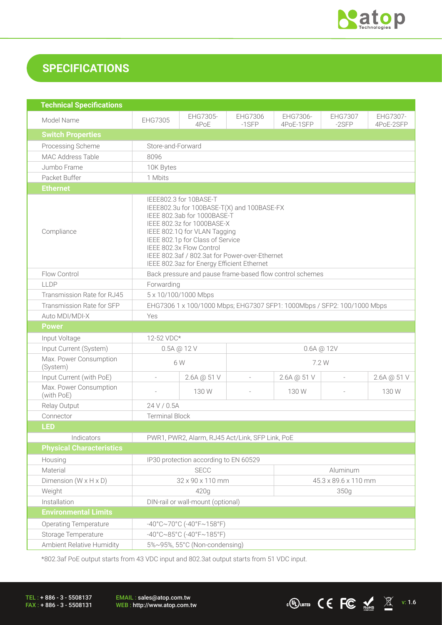

## **SPECIFICATIONS**

| <b>Technical Specifications</b>      |                                                                                                                                                                                                                                                                                                                                   |                                                          |                      |                       |                           |                       |
|--------------------------------------|-----------------------------------------------------------------------------------------------------------------------------------------------------------------------------------------------------------------------------------------------------------------------------------------------------------------------------------|----------------------------------------------------------|----------------------|-----------------------|---------------------------|-----------------------|
| Model Name                           | EHG7305                                                                                                                                                                                                                                                                                                                           | EHG7305-<br>4P <sub>o</sub> E                            | EHG7306<br>$-1$ SFP  | EHG7306-<br>4PoE-1SFP | <b>EHG7307</b><br>$-2SFP$ | EHG7307-<br>4PoE-2SFP |
| <b>Switch Properties</b>             |                                                                                                                                                                                                                                                                                                                                   |                                                          |                      |                       |                           |                       |
| Processing Scheme                    | Store-and-Forward                                                                                                                                                                                                                                                                                                                 |                                                          |                      |                       |                           |                       |
| <b>MAC Address Table</b>             | 8096                                                                                                                                                                                                                                                                                                                              |                                                          |                      |                       |                           |                       |
| Jumbo Frame                          | 10K Bytes                                                                                                                                                                                                                                                                                                                         |                                                          |                      |                       |                           |                       |
| Packet Buffer                        | 1 Mbits                                                                                                                                                                                                                                                                                                                           |                                                          |                      |                       |                           |                       |
| <b>Ethernet</b>                      |                                                                                                                                                                                                                                                                                                                                   |                                                          |                      |                       |                           |                       |
| Compliance                           | IEEE802.3 for 10BASE-T<br>IEEE802.3u for 100BASE-T(X) and 100BASE-FX<br>IEEE 802.3ab for 1000BASE-T<br>IEEE 802.3z for 1000BASE-X<br>IEEE 802.1Q for VLAN Tagging<br>IEEE 802.1p for Class of Service<br>IEEE 802.3x Flow Control<br>IEEE 802.3af / 802.3at for Power-over-Ethernet<br>IEEE 802.3az for Energy Efficient Ethernet |                                                          |                      |                       |                           |                       |
| Flow Control                         |                                                                                                                                                                                                                                                                                                                                   | Back pressure and pause frame-based flow control schemes |                      |                       |                           |                       |
| LLDP                                 | Forwarding                                                                                                                                                                                                                                                                                                                        |                                                          |                      |                       |                           |                       |
| Transmission Rate for RJ45           | 5 x 10/100/1000 Mbps                                                                                                                                                                                                                                                                                                              |                                                          |                      |                       |                           |                       |
| Transmission Rate for SFP            | EHG7306 1 x 100/1000 Mbps; EHG7307 SFP1: 1000Mbps / SFP2: 100/1000 Mbps                                                                                                                                                                                                                                                           |                                                          |                      |                       |                           |                       |
| Auto MDI/MDI-X                       | Yes                                                                                                                                                                                                                                                                                                                               |                                                          |                      |                       |                           |                       |
| <b>Power</b>                         |                                                                                                                                                                                                                                                                                                                                   |                                                          |                      |                       |                           |                       |
| Input Voltage                        |                                                                                                                                                                                                                                                                                                                                   | 12-52 VDC*                                               |                      |                       |                           |                       |
| Input Current (System)               | $0.5A \text{ @ } 12 \text{ V}$<br>$0.6A \t@ 12V$                                                                                                                                                                                                                                                                                  |                                                          |                      |                       |                           |                       |
| Max. Power Consumption<br>(System)   | 6W                                                                                                                                                                                                                                                                                                                                |                                                          |                      | 7.2 W                 |                           |                       |
| Input Current (with PoE)             | $\overline{a}$                                                                                                                                                                                                                                                                                                                    | 2.6A @ 51 V                                              | $\overline{a}$       | 2.6A @ 51 V           | $\overline{a}$            | 2.6A @ 51 V           |
| Max. Power Consumption<br>(with PoE) |                                                                                                                                                                                                                                                                                                                                   | 130 W                                                    |                      | 130W                  |                           | 130W                  |
| Relay Output                         | 24 V / 0.5A                                                                                                                                                                                                                                                                                                                       |                                                          |                      |                       |                           |                       |
| Connector                            | <b>Terminal Block</b>                                                                                                                                                                                                                                                                                                             |                                                          |                      |                       |                           |                       |
| <b>LED</b>                           |                                                                                                                                                                                                                                                                                                                                   |                                                          |                      |                       |                           |                       |
| Indicators                           | PWR1, PWR2, Alarm, RJ45 Act/Link, SFP Link, PoE                                                                                                                                                                                                                                                                                   |                                                          |                      |                       |                           |                       |
| <b>Physical Characteristics</b>      |                                                                                                                                                                                                                                                                                                                                   |                                                          |                      |                       |                           |                       |
| Housing                              | IP30 protection according to EN 60529                                                                                                                                                                                                                                                                                             |                                                          |                      |                       |                           |                       |
| Material                             | <b>SECC</b><br>Aluminum                                                                                                                                                                                                                                                                                                           |                                                          |                      |                       |                           |                       |
| Dimension ( $W \times H \times D$ )  | 32 x 90 x 110 mm                                                                                                                                                                                                                                                                                                                  |                                                          | 45.3 x 89.6 x 110 mm |                       |                           |                       |
| Weight                               | 420g                                                                                                                                                                                                                                                                                                                              |                                                          | 350g                 |                       |                           |                       |
| Installation                         | DIN-rail or wall-mount (optional)                                                                                                                                                                                                                                                                                                 |                                                          |                      |                       |                           |                       |
| <b>Environmental Limits</b>          |                                                                                                                                                                                                                                                                                                                                   |                                                          |                      |                       |                           |                       |
| <b>Operating Temperature</b>         | $-40^{\circ}$ C $\sim$ 70°C (-40°F $\sim$ 158°F)                                                                                                                                                                                                                                                                                  |                                                          |                      |                       |                           |                       |
| Storage Temperature                  | $-40^{\circ}$ C $\sim$ 85°C (-40°F $\sim$ 185°F)                                                                                                                                                                                                                                                                                  |                                                          |                      |                       |                           |                       |
| Ambient Relative Humidity            |                                                                                                                                                                                                                                                                                                                                   | 5%~95%, 55°C (Non-condensing)                            |                      |                       |                           |                       |

\*802.3af PoE output starts from 43 VDC input and 802.3at output starts from 51 VDC input.

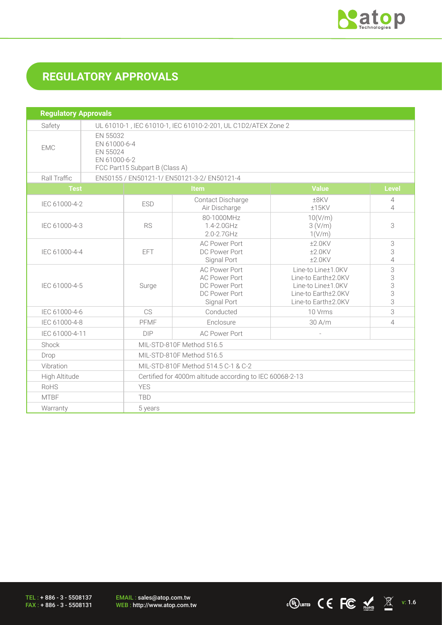

 $\cdot$  (U) usted  $\mathsf{CC}$   $\mathsf{FC}$   $\mathsf{M}$   $\mathbb{X}$  v: 1.6

# **REGULATORY APPROVALS**

| <b>Regulatory Approvals</b> |                                                               |                                                                                        |                                                                                               |                                                                                                               |                       |  |
|-----------------------------|---------------------------------------------------------------|----------------------------------------------------------------------------------------|-----------------------------------------------------------------------------------------------|---------------------------------------------------------------------------------------------------------------|-----------------------|--|
| Safety                      | UL 61010-1, IEC 61010-1, IEC 61010-2-201, UL C1D2/ATEX Zone 2 |                                                                                        |                                                                                               |                                                                                                               |                       |  |
| <b>EMC</b>                  |                                                               | EN 55032<br>EN 61000-6-4<br>EN 55024<br>EN 61000-6-2<br>FCC Part15 Subpart B (Class A) |                                                                                               |                                                                                                               |                       |  |
| Rall Traffic                |                                                               | EN50155 / EN50121-1/ EN50121-3-2/ EN50121-4                                            |                                                                                               |                                                                                                               |                       |  |
| <b>Test</b>                 |                                                               |                                                                                        | <b>Item</b>                                                                                   | <b>Value</b>                                                                                                  | <b>Level</b>          |  |
| IEC 61000-4-2               |                                                               | <b>ESD</b>                                                                             | Contact Discharge<br>Air Discharge                                                            | ±8KV<br>±15KV                                                                                                 | 4<br>4                |  |
| IEC 61000-4-3               |                                                               | <b>RS</b>                                                                              | 80-1000MHz<br>1.4-2.0GHz<br>2.0-2.7GHz                                                        | 10(V/m)<br>3(V/m)<br>1(V/m)                                                                                   | 3                     |  |
| IEC 61000-4-4               |                                                               | <b>EFT</b>                                                                             | <b>AC Power Port</b><br>DC Power Port<br>Signal Port                                          | $±2.0$ KV<br>$±2.0$ KV<br>$±2.0$ KV                                                                           | 3<br>3<br>4           |  |
| IEC 61000-4-5               |                                                               | Surge                                                                                  | <b>AC Power Port</b><br><b>AC Power Port</b><br>DC Power Port<br>DC Power Port<br>Signal Port | Line-to Line±1.0KV<br>Line-to Earth±2.0KV<br>Line-to Line±1.0KV<br>Line-to Earth±2.0KV<br>Line-to Earth±2.0KV | 3<br>3<br>3<br>3<br>3 |  |
| IEC 61000-4-6               |                                                               | CS                                                                                     | Conducted                                                                                     | 10 Vrms                                                                                                       | 3                     |  |
| IEC 61000-4-8               |                                                               | PFMF                                                                                   | Enclosure                                                                                     | 30 A/m                                                                                                        | 4                     |  |
|                             | IEC 61000-4-11<br><b>AC Power Port</b><br>DIP                 |                                                                                        |                                                                                               |                                                                                                               |                       |  |
| Shock                       |                                                               | MIL-STD-810F Method 516.5                                                              |                                                                                               |                                                                                                               |                       |  |
| Drop                        |                                                               | MIL-STD-810F Method 516.5                                                              |                                                                                               |                                                                                                               |                       |  |
| Vibration                   |                                                               | MIL-STD-810F Method 514.5 C-1 & C-2                                                    |                                                                                               |                                                                                                               |                       |  |
| High Altitude               |                                                               | Certified for 4000m altitude according to IEC 60068-2-13                               |                                                                                               |                                                                                                               |                       |  |
| RoHS                        |                                                               | <b>YES</b>                                                                             |                                                                                               |                                                                                                               |                       |  |
| <b>MTBF</b>                 |                                                               | <b>TBD</b>                                                                             |                                                                                               |                                                                                                               |                       |  |
| Warranty                    |                                                               | 5 years                                                                                |                                                                                               |                                                                                                               |                       |  |